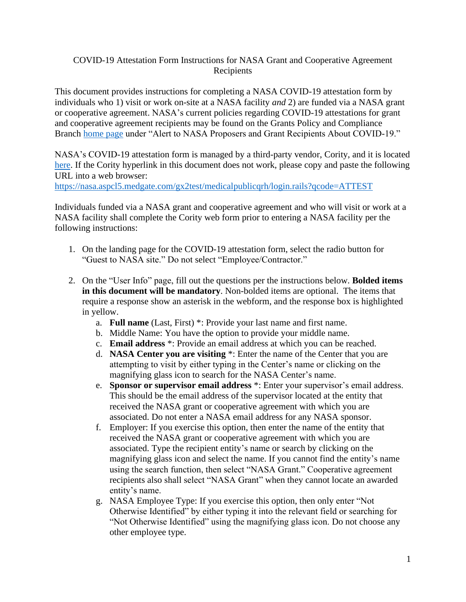## COVID-19 Attestation Form Instructions for NASA Grant and Cooperative Agreement Recipients

This document provides instructions for completing a NASA COVID-19 attestation form by individuals who 1) visit or work on-site at a NASA facility *and* 2) are funded via a NASA grant or cooperative agreement. NASA's current policies regarding COVID-19 attestations for grant and cooperative agreement recipients may be found on the Grants Policy and Compliance Branch [home page](https://www.nasa.gov/offices/ocfo/gpc) under "Alert to NASA Proposers and Grant Recipients About COVID-19."

NASA's COVID-19 attestation form is managed by a third-party vendor, Cority, and it is located [here.](https://nasa.aspcl5.medgate.com/gx2test/medicalpublicqrh/login.rails?qcode=ATTEST) If the Cority hyperlink in this document does not work, please copy and paste the following URL into a web browser:

<https://nasa.aspcl5.medgate.com/gx2test/medicalpublicqrh/login.rails?qcode=ATTEST>

Individuals funded via a NASA grant and cooperative agreement and who will visit or work at a NASA facility shall complete the Cority web form prior to entering a NASA facility per the following instructions:

- 1. On the landing page for the COVID-19 attestation form, select the radio button for "Guest to NASA site." Do not select "Employee/Contractor."
- 2. On the "User Info" page, fill out the questions per the instructions below. **Bolded items in this document will be mandatory**. Non-bolded items are optional. The items that require a response show an asterisk in the webform, and the response box is highlighted in yellow.
	- a. **Full name** (Last, First) \*: Provide your last name and first name.
	- b. Middle Name: You have the option to provide your middle name.
	- c. **Email address** \*: Provide an email address at which you can be reached.
	- d. **NASA Center you are visiting** \*: Enter the name of the Center that you are attempting to visit by either typing in the Center's name or clicking on the magnifying glass icon to search for the NASA Center's name.
	- e. **Sponsor or supervisor email address** \*: Enter your supervisor's email address. This should be the email address of the supervisor located at the entity that received the NASA grant or cooperative agreement with which you are associated. Do not enter a NASA email address for any NASA sponsor.
	- f. Employer: If you exercise this option, then enter the name of the entity that received the NASA grant or cooperative agreement with which you are associated. Type the recipient entity's name or search by clicking on the magnifying glass icon and select the name. If you cannot find the entity's name using the search function, then select "NASA Grant." Cooperative agreement recipients also shall select "NASA Grant" when they cannot locate an awarded entity's name.
	- g. NASA Employee Type: If you exercise this option, then only enter "Not Otherwise Identified" by either typing it into the relevant field or searching for "Not Otherwise Identified" using the magnifying glass icon. Do not choose any other employee type.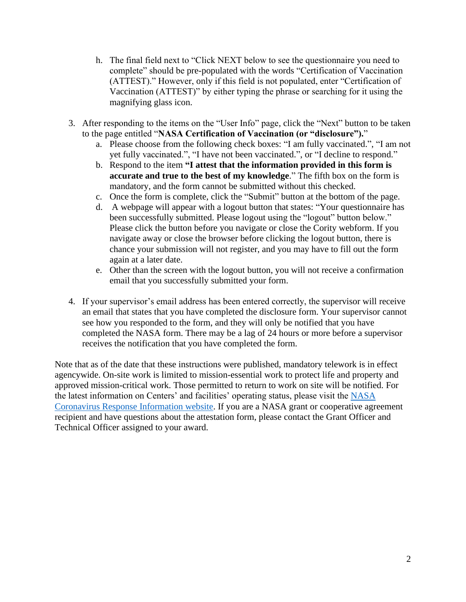- h. The final field next to "Click NEXT below to see the questionnaire you need to complete" should be pre-populated with the words "Certification of Vaccination (ATTEST)." However, only if this field is not populated, enter "Certification of Vaccination (ATTEST)" by either typing the phrase or searching for it using the magnifying glass icon.
- 3. After responding to the items on the "User Info" page, click the "Next" button to be taken to the page entitled "**NASA Certification of Vaccination (or "disclosure").**"
	- a. Please choose from the following check boxes: "I am fully vaccinated.", "I am not yet fully vaccinated.", "I have not been vaccinated.", or "I decline to respond."
	- b. Respond to the item **"I attest that the information provided in this form is accurate and true to the best of my knowledge**." The fifth box on the form is mandatory, and the form cannot be submitted without this checked.
	- c. Once the form is complete, click the "Submit" button at the bottom of the page.
	- d. A webpage will appear with a logout button that states: "Your questionnaire has been successfully submitted. Please logout using the "logout" button below." Please click the button before you navigate or close the Cority webform. If you navigate away or close the browser before clicking the logout button, there is chance your submission will not register, and you may have to fill out the form again at a later date.
	- e. Other than the screen with the logout button, you will not receive a confirmation email that you successfully submitted your form.
- 4. If your supervisor's email address has been entered correctly, the supervisor will receive an email that states that you have completed the disclosure form. Your supervisor cannot see how you responded to the form, and they will only be notified that you have completed the NASA form. There may be a lag of 24 hours or more before a supervisor receives the notification that you have completed the form.

Note that as of the date that these instructions were published, mandatory telework is in effect agencywide. On-site work is limited to mission-essential work to protect life and property and approved mission-critical work. Those permitted to return to work on site will be notified. For the latest information on Centers' and facilities' operating status, please visit the [NASA](https://nasapeople.nasa.gov/coronavirus/)  [Coronavirus Response Information website.](https://nasapeople.nasa.gov/coronavirus/) If you are a NASA grant or cooperative agreement recipient and have questions about the attestation form, please contact the Grant Officer and Technical Officer assigned to your award.